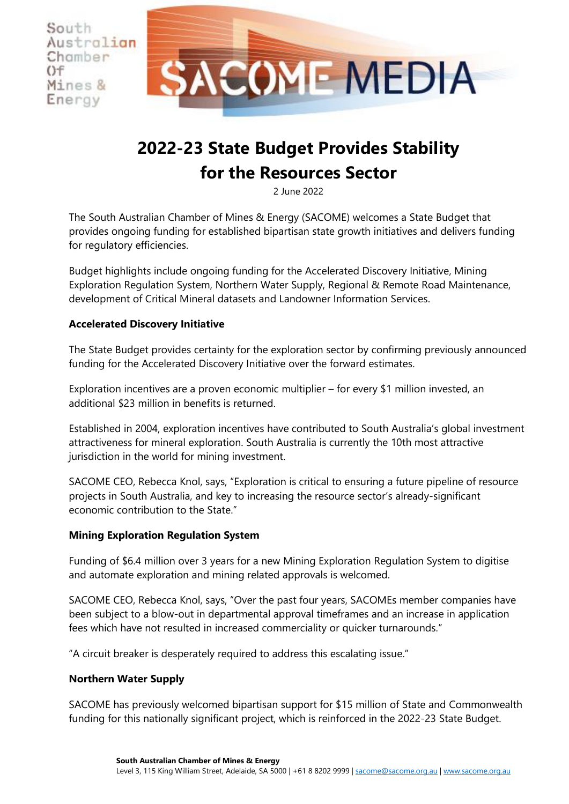South Australian Chamber **COME MEDIA** Mines & Energy

# **2022-23 State Budget Provides Stability for the Resources Sector**

2 June 2022

The South Australian Chamber of Mines & Energy (SACOME) welcomes a State Budget that provides ongoing funding for established bipartisan state growth initiatives and delivers funding for regulatory efficiencies.

Budget highlights include ongoing funding for the Accelerated Discovery Initiative, Mining Exploration Regulation System, Northern Water Supply, Regional & Remote Road Maintenance, development of Critical Mineral datasets and Landowner Information Services.

# **Accelerated Discovery Initiative**

 $()f$ 

The State Budget provides certainty for the exploration sector by confirming previously announced funding for the Accelerated Discovery Initiative over the forward estimates.

Exploration incentives are a proven economic multiplier – for every \$1 million invested, an additional \$23 million in benefits is returned.

Established in 2004, exploration incentives have contributed to South Australia's global investment attractiveness for mineral exploration. South Australia is currently the 10th most attractive jurisdiction in the world for mining investment.

SACOME CEO, Rebecca Knol, says, "Exploration is critical to ensuring a future pipeline of resource projects in South Australia, and key to increasing the resource sector's already-significant economic contribution to the State."

## **Mining Exploration Regulation System**

Funding of \$6.4 million over 3 years for a new Mining Exploration Regulation System to digitise and automate exploration and mining related approvals is welcomed.

SACOME CEO, Rebecca Knol, says, "Over the past four years, SACOMEs member companies have been subject to a blow-out in departmental approval timeframes and an increase in application fees which have not resulted in increased commerciality or quicker turnarounds."

"A circuit breaker is desperately required to address this escalating issue."

## **Northern Water Supply**

SACOME has previously welcomed bipartisan support for \$15 million of State and Commonwealth funding for this nationally significant project, which is reinforced in the 2022-23 State Budget.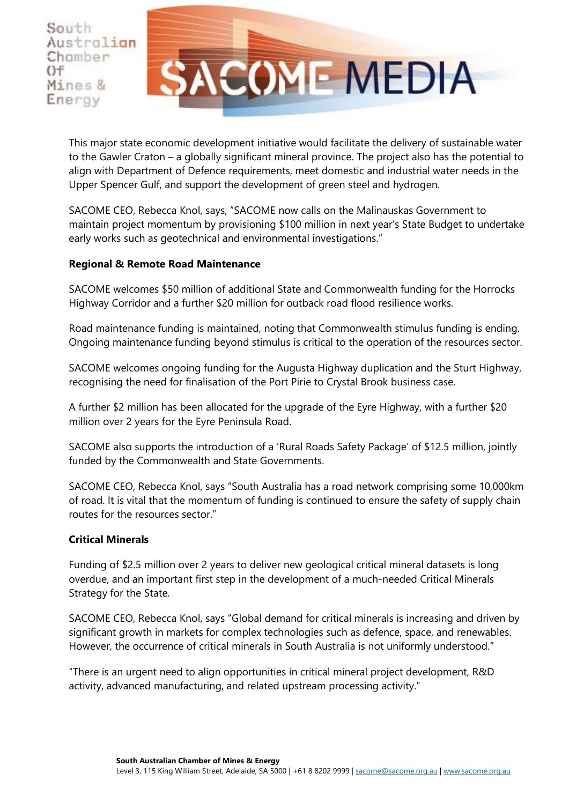South Australian Chamber  $()f$ Mines & Energy



This major state economic development initiative would facilitate the delivery of sustainable water to the Gawler Craton – a globally significant mineral province. The project also has the potential to align with Department of Defence requirements, meet domestic and industrial water needs in the Upper Spencer Gulf, and support the development of green steel and hydrogen.

SACOME CEO, Rebecca Knol, says, "SACOME now calls on the Malinauskas Government to maintain project momentum by provisioning \$100 million in next year's State Budget to undertake early works such as geotechnical and environmental investigations."

## **Regional & Remote Road Maintenance**

SACOME welcomes \$50 million of additional State and Commonwealth funding for the Horrocks Highway Corridor and a further \$20 million for outback road flood resilience works.

Road maintenance funding is maintained, noting that Commonwealth stimulus funding is ending. Ongoing maintenance funding beyond stimulus is critical to the operation of the resources sector.

SACOME welcomes ongoing funding for the Augusta Highway duplication and the Sturt Highway, recognising the need for finalisation of the Port Pirie to Crystal Brook business case.

A further \$2 million has been allocated for the upgrade of the Eyre Highway, with a further \$20 million over 2 years for the Eyre Peninsula Road.

SACOME also supports the introduction of a 'Rural Roads Safety Package' of \$12.5 million, jointly funded by the Commonwealth and State Governments.

SACOME CEO, Rebecca Knol, says "South Australia has a road network comprising some 10,000km of road. It is vital that the momentum of funding is continued to ensure the safety of supply chain routes for the resources sector."

#### **Critical Minerals**

Funding of \$2.5 million over 2 years to deliver new geological critical mineral datasets is long overdue, and an important first step in the development of a much-needed Critical Minerals Strategy for the State.

SACOME CEO, Rebecca Knol, says "Global demand for critical minerals is increasing and driven by significant growth in markets for complex technologies such as defence, space, and renewables. However, the occurrence of critical minerals in South Australia is not uniformly understood."

"There is an urgent need to align opportunities in critical mineral project development, R&D activity, advanced manufacturing, and related upstream processing activity."